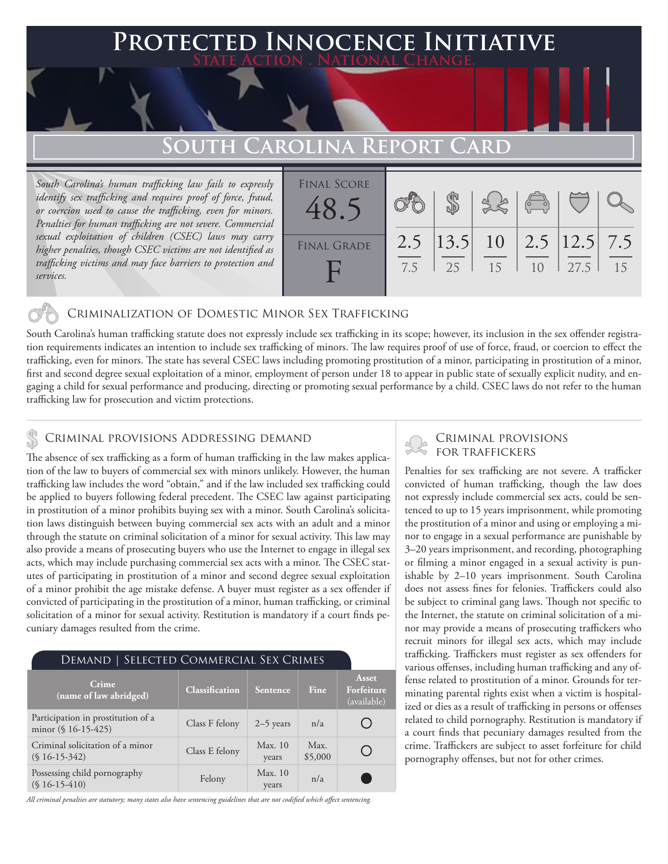## **PTED INNOCENCE INITIATIVE State Action . National Change.**

# **South Carolina Report Card**

*South Carolina's human trafficking law fails to expressly identify sex trafficking and requires proof of force, fraud, or coercion used to cause the trafficking, even for minors. Penalties for human trafficking are not severe. Commercial sexual exploitation of children (CSEC) laws may carry higher penalties, though CSEC victims are not identified as trafficking victims and may face barriers to protection and services.* 

| <b>FINAL SCORE</b><br>48. |     |     |                                           | $\sqrt{\frac{1}{10}}$ |      |    |
|---------------------------|-----|-----|-------------------------------------------|-----------------------|------|----|
| <b>FINAL GRADE</b>        | 7.5 | 2.5 | 2.5   13.5   10   2.5   12.5   7.5<br>1.5 | 10                    | 27.5 | 15 |

### Criminalization of Domestic Minor Sex Trafficking

South Carolina's human trafficking statute does not expressly include sex trafficking in its scope; however, its inclusion in the sex offender registration requirements indicates an intention to include sex trafficking of minors. The law requires proof of use of force, fraud, or coercion to effect the trafficking, even for minors. The state has several CSEC laws including promoting prostitution of a minor, participating in prostitution of a minor, first and second degree sexual exploitation of a minor, employment of person under 18 to appear in public state of sexually explicit nudity, and engaging a child for sexual performance and producing, directing or promoting sexual performance by a child. CSEC laws do not refer to the human trafficking law for prosecution and victim protections.

### Criminal provisions Addressing demand

The absence of sex trafficking as a form of human trafficking in the law makes application of the law to buyers of commercial sex with minors unlikely. However, the human trafficking law includes the word "obtain," and if the law included sex trafficking could be applied to buyers following federal precedent. The CSEC law against participating in prostitution of a minor prohibits buying sex with a minor. South Carolina's solicitation laws distinguish between buying commercial sex acts with an adult and a minor through the statute on criminal solicitation of a minor for sexual activity. This law may also provide a means of prosecuting buyers who use the Internet to engage in illegal sex acts, which may include purchasing commercial sex acts with a minor. The CSEC statutes of participating in prostitution of a minor and second degree sexual exploitation of a minor prohibit the age mistake defense. A buyer must register as a sex offender if convicted of participating in the prostitution of a minor, human trafficking, or criminal solicitation of a minor for sexual activity. Restitution is mandatory if a court finds pecuniary damages resulted from the crime.

| DEMAND   SELECTED COMMERCIAL SEX CRIMES                      |                       |                  |                 |                                    |  |  |
|--------------------------------------------------------------|-----------------------|------------------|-----------------|------------------------------------|--|--|
| Crime<br>(name of law abridged)                              | <b>Classification</b> | Sentence         | Fine            | Asset<br>Forfeiture<br>(available) |  |  |
| Participation in prostitution of a<br>minor $(\S 16-15-425)$ | Class F felony        | $2-5$ years      | n/a             |                                    |  |  |
| Criminal solicitation of a minor<br>$(S16-15-342)$           | Class E felony        | Max. 10<br>years | Max.<br>\$5,000 |                                    |  |  |
| Possessing child pornography<br>$(S16-15-410)$               | Felony                | Max. 10<br>years | n/a             |                                    |  |  |

*All criminal penalties are statutory; many states also have sentencing guidelines that are not codified which affect sentencing.* 

# Criminal provisions

Penalties for sex trafficking are not severe. A trafficker convicted of human trafficking, though the law does not expressly include commercial sex acts, could be sentenced to up to 15 years imprisonment, while promoting the prostitution of a minor and using or employing a minor to engage in a sexual performance are punishable by 3–20 years imprisonment, and recording, photographing or filming a minor engaged in a sexual activity is punishable by 2–10 years imprisonment. South Carolina does not assess fines for felonies. Traffickers could also be subject to criminal gang laws. Though not specific to the Internet, the statute on criminal solicitation of a minor may provide a means of prosecuting traffickers who recruit minors for illegal sex acts, which may include trafficking. Traffickers must register as sex offenders for various offenses, including human trafficking and any offense related to prostitution of a minor. Grounds for terminating parental rights exist when a victim is hospitalized or dies as a result of trafficking in persons or offenses related to child pornography. Restitution is mandatory if a court finds that pecuniary damages resulted from the crime. Traffickers are subject to asset forfeiture for child pornography offenses, but not for other crimes.